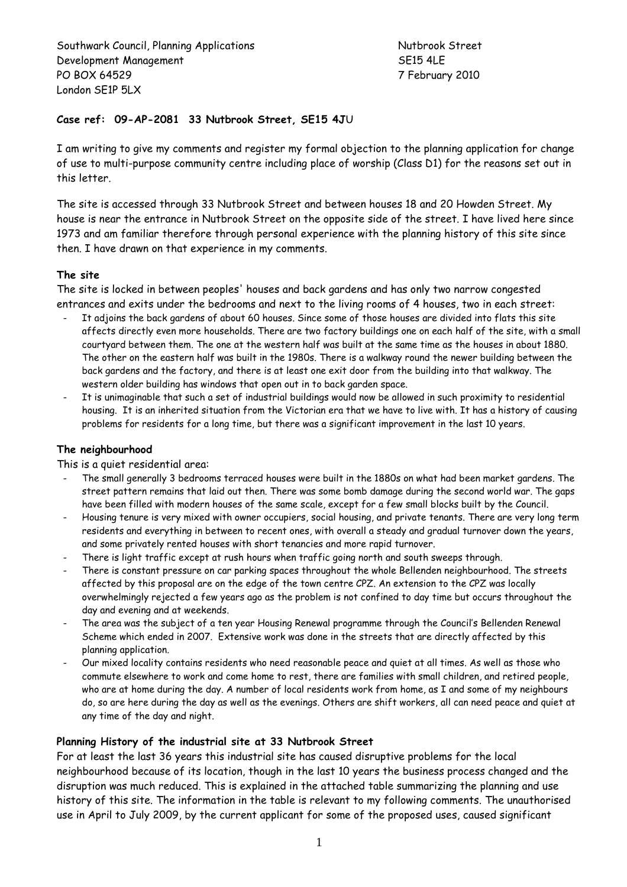Southwark Council, Planning Applications Nutbrook Street Development Management SE15 4LE PO BOX 64529 7 February 2010 London SE1P 5LX

# **Case ref: 09-AP-2081 33 Nutbrook Street, SE15 4J**U

I am writing to give my comments and register my formal objection to the planning application for change of use to multi-purpose community centre including place of worship (Class D1) for the reasons set out in this letter.

The site is accessed through 33 Nutbrook Street and between houses 18 and 20 Howden Street. My house is near the entrance in Nutbrook Street on the opposite side of the street. I have lived here since 1973 and am familiar therefore through personal experience with the planning history of this site since then. I have drawn on that experience in my comments.

# **The site**

The site is locked in between peoples' houses and back gardens and has only two narrow congested entrances and exits under the bedrooms and next to the living rooms of 4 houses, two in each street:

- It adjoins the back gardens of about 60 houses. Since some of those houses are divided into flats this site affects directly even more households. There are two factory buildings one on each half of the site, with a small courtyard between them. The one at the western half was built at the same time as the houses in about 1880. The other on the eastern half was built in the 1980s. There is a walkway round the newer building between the back gardens and the factory, and there is at least one exit door from the building into that walkway. The western older building has windows that open out in to back garden space.
- It is unimaginable that such a set of industrial buildings would now be allowed in such proximity to residential housing. It is an inherited situation from the Victorian era that we have to live with. It has a history of causing problems for residents for a long time, but there was a significant improvement in the last 10 years.

# **The neighbourhood**

This is a quiet residential area:

- The small generally 3 bedrooms terraced houses were built in the 1880s on what had been market gardens. The street pattern remains that laid out then. There was some bomb damage during the second world war. The gaps have been filled with modern houses of the same scale, except for a few small blocks built by the Council.
- Housing tenure is very mixed with owner occupiers, social housing, and private tenants. There are very long term residents and everything in between to recent ones, with overall a steady and gradual turnover down the years, and some privately rented houses with short tenancies and more rapid turnover.
- There is light traffic except at rush hours when traffic going north and south sweeps through.
- There is constant pressure on car parking spaces throughout the whole Bellenden neighbourhood. The streets affected by this proposal are on the edge of the town centre CPZ. An extension to the CPZ was locally overwhelmingly rejected a few years ago as the problem is not confined to day time but occurs throughout the day and evening and at weekends.
- The area was the subject of a ten year Housing Renewal programme through the Council's Bellenden Renewal Scheme which ended in 2007. Extensive work was done in the streets that are directly affected by this planning application.
- Our mixed locality contains residents who need reasonable peace and quiet at all times. As well as those who commute elsewhere to work and come home to rest, there are families with small children, and retired people, who are at home during the day. A number of local residents work from home, as I and some of my neighbours do, so are here during the day as well as the evenings. Others are shift workers, all can need peace and quiet at any time of the day and night.

#### **Planning History of the industrial site at 33 Nutbrook Street**

For at least the last 36 years this industrial site has caused disruptive problems for the local neighbourhood because of its location, though in the last 10 years the business process changed and the disruption was much reduced. This is explained in the attached table summarizing the planning and use history of this site. The information in the table is relevant to my following comments. The unauthorised use in April to July 2009, by the current applicant for some of the proposed uses, caused significant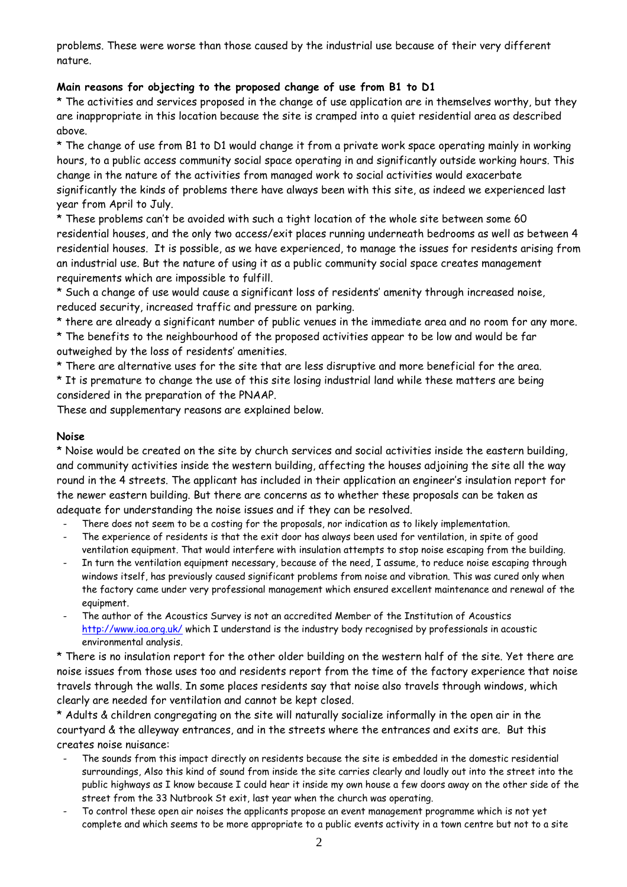problems. These were worse than those caused by the industrial use because of their very different nature.

# **Main reasons for objecting to the proposed change of use from B1 to D1**

\* The activities and services proposed in the change of use application are in themselves worthy, but they are inappropriate in this location because the site is cramped into a quiet residential area as described above.

\* The change of use from B1 to D1 would change it from a private work space operating mainly in working hours, to a public access community social space operating in and significantly outside working hours. This change in the nature of the activities from managed work to social activities would exacerbate significantly the kinds of problems there have always been with this site, as indeed we experienced last year from April to July.

\* These problems can't be avoided with such a tight location of the whole site between some 60 residential houses, and the only two access/exit places running underneath bedrooms as well as between 4 residential houses. It is possible, as we have experienced, to manage the issues for residents arising from an industrial use. But the nature of using it as a public community social space creates management requirements which are impossible to fulfill.

\* Such a change of use would cause a significant loss of residents' amenity through increased noise, reduced security, increased traffic and pressure on parking.

\* there are already a significant number of public venues in the immediate area and no room for any more.

\* The benefits to the neighbourhood of the proposed activities appear to be low and would be far outweighed by the loss of residents' amenities.

\* There are alternative uses for the site that are less disruptive and more beneficial for the area.

\* It is premature to change the use of this site losing industrial land while these matters are being considered in the preparation of the PNAAP.

These and supplementary reasons are explained below.

# **Noise**

\* Noise would be created on the site by church services and social activities inside the eastern building, and community activities inside the western building, affecting the houses adjoining the site all the way round in the 4 streets. The applicant has included in their application an engineer's insulation report for the newer eastern building. But there are concerns as to whether these proposals can be taken as adequate for understanding the noise issues and if they can be resolved.

- There does not seem to be a costing for the proposals, nor indication as to likely implementation.
- The experience of residents is that the exit door has always been used for ventilation, in spite of good ventilation equipment. That would interfere with insulation attempts to stop noise escaping from the building.
- In turn the ventilation equipment necessary, because of the need, I assume, to reduce noise escaping through windows itself, has previously caused significant problems from noise and vibration. This was cured only when the factory came under very professional management which ensured excellent maintenance and renewal of the equipment.
- The author of the Acoustics Survey is not an accredited Member of the Institution of Acoustics http://www.ioa.org.uk/ which I understand is the industry body recognised by professionals in acoustic environmental analysis.

\* There is no insulation report for the other older building on the western half of the site. Yet there are noise issues from those uses too and residents report from the time of the factory experience that noise travels through the walls. In some places residents say that noise also travels through windows, which clearly are needed for ventilation and cannot be kept closed.

\* Adults & children congregating on the site will naturally socialize informally in the open air in the courtyard & the alleyway entrances, and in the streets where the entrances and exits are. But this creates noise nuisance:

- The sounds from this impact directly on residents because the site is embedded in the domestic residential surroundings, Also this kind of sound from inside the site carries clearly and loudly out into the street into the public highways as I know because I could hear it inside my own house a few doors away on the other side of the street from the 33 Nutbrook St exit, last year when the church was operating.
- To control these open air noises the applicants propose an event management programme which is not yet complete and which seems to be more appropriate to a public events activity in a town centre but not to a site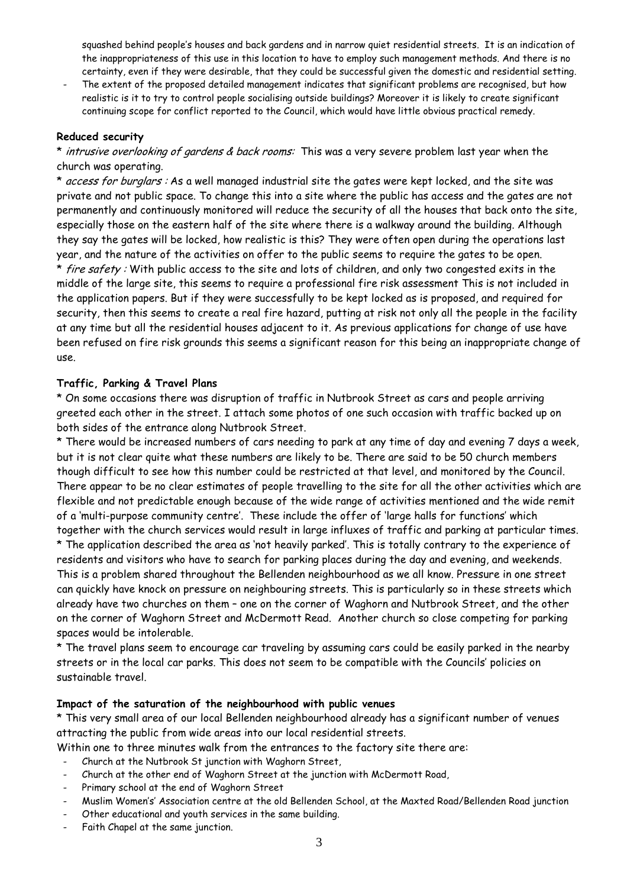squashed behind people's houses and back gardens and in narrow quiet residential streets. It is an indication of the inappropriateness of this use in this location to have to employ such management methods. And there is no certainty, even if they were desirable, that they could be successful given the domestic and residential setting.

The extent of the proposed detailed management indicates that significant problems are recognised, but how realistic is it to try to control people socialising outside buildings? Moreover it is likely to create significant continuing scope for conflict reported to the Council, which would have little obvious practical remedy.

# **Reduced security**

\* intrusive overlooking of gardens & back rooms: This was a very severe problem last year when the church was operating.

\* access for burglars : As a well managed industrial site the gates were kept locked, and the site was private and not public space. To change this into a site where the public has access and the gates are not permanently and continuously monitored will reduce the security of all the houses that back onto the site, especially those on the eastern half of the site where there is a walkway around the building. Although they say the gates will be locked, how realistic is this? They were often open during the operations last year, and the nature of the activities on offer to the public seems to require the gates to be open. \* fire safety: With public access to the site and lots of children, and only two congested exits in the middle of the large site, this seems to require a professional fire risk assessment This is not included in the application papers. But if they were successfully to be kept locked as is proposed, and required for security, then this seems to create a real fire hazard, putting at risk not only all the people in the facility at any time but all the residential houses adjacent to it. As previous applications for change of use have been refused on fire risk grounds this seems a significant reason for this being an inappropriate change of use.

#### **Traffic, Parking & Travel Plans**

\* On some occasions there was disruption of traffic in Nutbrook Street as cars and people arriving greeted each other in the street. I attach some photos of one such occasion with traffic backed up on both sides of the entrance along Nutbrook Street.

\* There would be increased numbers of cars needing to park at any time of day and evening 7 days a week, but it is not clear quite what these numbers are likely to be. There are said to be 50 church members though difficult to see how this number could be restricted at that level, and monitored by the Council. There appear to be no clear estimates of people travelling to the site for all the other activities which are flexible and not predictable enough because of the wide range of activities mentioned and the wide remit of a 'multi-purpose community centre'. These include the offer of 'large halls for functions' which together with the church services would result in large influxes of traffic and parking at particular times.

\* The application described the area as 'not heavily parked'. This is totally contrary to the experience of residents and visitors who have to search for parking places during the day and evening, and weekends. This is a problem shared throughout the Bellenden neighbourhood as we all know. Pressure in one street can quickly have knock on pressure on neighbouring streets. This is particularly so in these streets which already have two churches on them – one on the corner of Waghorn and Nutbrook Street, and the other on the corner of Waghorn Street and McDermott Read. Another church so close competing for parking spaces would be intolerable.

\* The travel plans seem to encourage car traveling by assuming cars could be easily parked in the nearby streets or in the local car parks. This does not seem to be compatible with the Councils' policies on sustainable travel.

#### **Impact of the saturation of the neighbourhood with public venues**

\* This very small area of our local Bellenden neighbourhood already has a significant number of venues attracting the public from wide areas into our local residential streets.

Within one to three minutes walk from the entrances to the factory site there are:

- Church at the Nutbrook St junction with Waghorn Street,
- Church at the other end of Waghorn Street at the junction with McDermott Road,
- Primary school at the end of Waghorn Street
- Muslim Women's' Association centre at the old Bellenden School, at the Maxted Road/Bellenden Road junction
- Other educational and youth services in the same building.
- Faith Chapel at the same junction.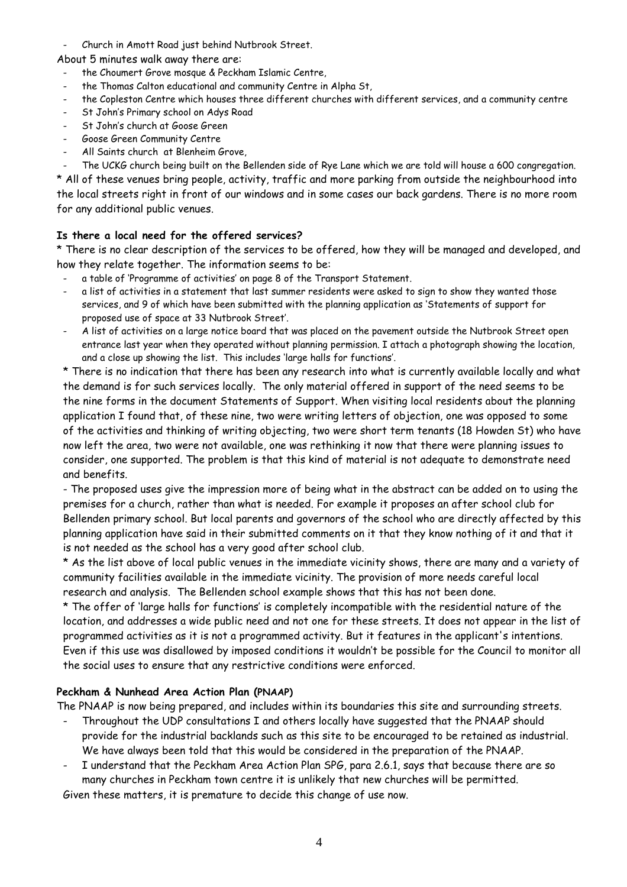- Church in Amott Road just behind Nutbrook Street.

About 5 minutes walk away there are:

- the Choumert Grove mosque & Peckham Islamic Centre,
- the Thomas Calton educational and community Centre in Alpha St,
- the Copleston Centre which houses three different churches with different services, and a community centre
- St John's Primary school on Adys Road
- St John's church at Goose Green
- Goose Green Community Centre
- All Saints church at Blenheim Grove,

The UCKG church being built on the Bellenden side of Rye Lane which we are told will house a 600 congregation. \* All of these venues bring people, activity, traffic and more parking from outside the neighbourhood into the local streets right in front of our windows and in some cases our back gardens. There is no more room for any additional public venues.

# **Is there a local need for the offered services?**

\* There is no clear description of the services to be offered, how they will be managed and developed, and how they relate together. The information seems to be:

- a table of 'Programme of activities' on page 8 of the Transport Statement.
- a list of activities in a statement that last summer residents were asked to sign to show they wanted those services, and 9 of which have been submitted with the planning application as 'Statements of support for proposed use of space at 33 Nutbrook Street'.
- A list of activities on a large notice board that was placed on the pavement outside the Nutbrook Street open entrance last year when they operated without planning permission. I attach a photograph showing the location, and a close up showing the list. This includes 'large halls for functions'.

\* There is no indication that there has been any research into what is currently available locally and what the demand is for such services locally. The only material offered in support of the need seems to be the nine forms in the document Statements of Support. When visiting local residents about the planning application I found that, of these nine, two were writing letters of objection, one was opposed to some of the activities and thinking of writing objecting, two were short term tenants (18 Howden St) who have now left the area, two were not available, one was rethinking it now that there were planning issues to consider, one supported. The problem is that this kind of material is not adequate to demonstrate need and benefits.

- The proposed uses give the impression more of being what in the abstract can be added on to using the premises for a church, rather than what is needed. For example it proposes an after school club for Bellenden primary school. But local parents and governors of the school who are directly affected by this planning application have said in their submitted comments on it that they know nothing of it and that it is not needed as the school has a very good after school club.

\* As the list above of local public venues in the immediate vicinity shows, there are many and a variety of community facilities available in the immediate vicinity. The provision of more needs careful local research and analysis. The Bellenden school example shows that this has not been done.

\* The offer of 'large halls for functions' is completely incompatible with the residential nature of the location, and addresses a wide public need and not one for these streets. It does not appear in the list of programmed activities as it is not a programmed activity. But it features in the applicant's intentions. Even if this use was disallowed by imposed conditions it wouldn't be possible for the Council to monitor all the social uses to ensure that any restrictive conditions were enforced.

# **Peckham & Nunhead Area Action Plan (PNAAP)**

The PNAAP is now being prepared, and includes within its boundaries this site and surrounding streets.

- Throughout the UDP consultations I and others locally have suggested that the PNAAP should provide for the industrial backlands such as this site to be encouraged to be retained as industrial. We have always been told that this would be considered in the preparation of the PNAAP.
- I understand that the Peckham Area Action Plan SPG, para 2.6.1, says that because there are so many churches in Peckham town centre it is unlikely that new churches will be permitted.

Given these matters, it is premature to decide this change of use now.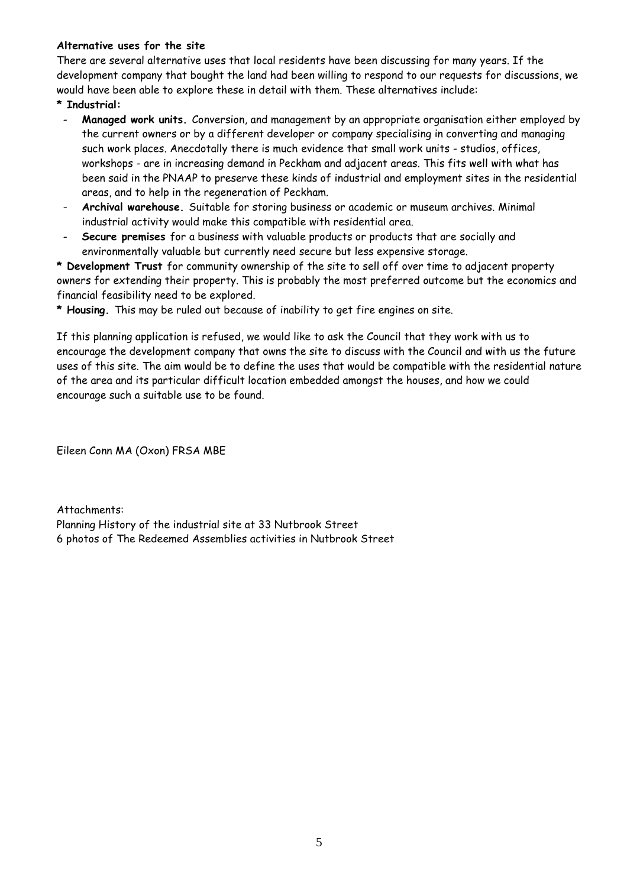# **Alternative uses for the site**

There are several alternative uses that local residents have been discussing for many years. If the development company that bought the land had been willing to respond to our requests for discussions, we would have been able to explore these in detail with them. These alternatives include:

- **\* Industrial:**
- **Managed work units.** Conversion, and management by an appropriate organisation either employed by the current owners or by a different developer or company specialising in converting and managing such work places. Anecdotally there is much evidence that small work units - studios, offices, workshops - are in increasing demand in Peckham and adjacent areas. This fits well with what has been said in the PNAAP to preserve these kinds of industrial and employment sites in the residential areas, and to help in the regeneration of Peckham.
- **Archival warehouse.** Suitable for storing business or academic or museum archives. Minimal industrial activity would make this compatible with residential area.
- **Secure premises** for a business with valuable products or products that are socially and environmentally valuable but currently need secure but less expensive storage.

**\* Development Trust** for community ownership of the site to sell off over time to adjacent property owners for extending their property. This is probably the most preferred outcome but the economics and financial feasibility need to be explored.

**\* Housing.** This may be ruled out because of inability to get fire engines on site.

If this planning application is refused, we would like to ask the Council that they work with us to encourage the development company that owns the site to discuss with the Council and with us the future uses of this site. The aim would be to define the uses that would be compatible with the residential nature of the area and its particular difficult location embedded amongst the houses, and how we could encourage such a suitable use to be found.

Eileen Conn MA (Oxon) FRSA MBE

Attachments: Planning History of the industrial site at 33 Nutbrook Street 6 photos of The Redeemed Assemblies activities in Nutbrook Street